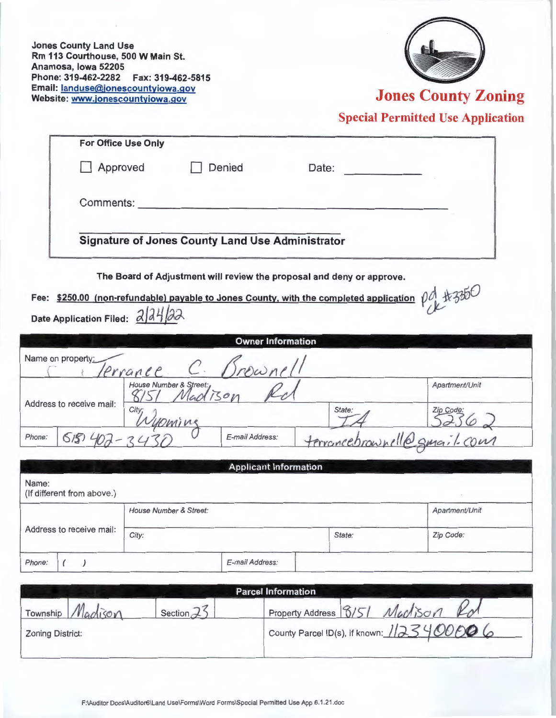**Jones County Land Use Rm 113 Courthouse, 500 W Main St. Anamosa, Iowa 52205 Phone: 319-462-2282 Fax: 319-462-5815 Email: landuse@jonescountyiowa.gov** 



**Jones County Zoning** 

**Special Permitted Use Application** 

| <b>For Office Use Only</b>                                                                                       |                                                                       |                              |                          |                |  |  |
|------------------------------------------------------------------------------------------------------------------|-----------------------------------------------------------------------|------------------------------|--------------------------|----------------|--|--|
| Approved                                                                                                         |                                                                       | Denied                       | Date:                    |                |  |  |
| Comments:                                                                                                        |                                                                       |                              |                          |                |  |  |
| <b>Signature of Jones County Land Use Administrator</b>                                                          |                                                                       |                              |                          |                |  |  |
|                                                                                                                  | The Board of Adjustment will review the proposal and deny or approve. |                              |                          |                |  |  |
| Fee: \$250.00 (non-refundable) payable to Jones County, with the completed application $\rho A + 350$<br>2 24 22 |                                                                       |                              |                          |                |  |  |
| <b>Date Application Filed:</b>                                                                                   |                                                                       |                              |                          |                |  |  |
|                                                                                                                  |                                                                       | <b>Owner Information</b>     |                          |                |  |  |
| Name on property:                                                                                                | errance                                                               |                              |                          |                |  |  |
| Address to receive mail:                                                                                         | House Number & Street:<br>150n                                        |                              |                          | Apartment/Unit |  |  |
|                                                                                                                  | City,                                                                 |                              | State:                   |                |  |  |
| Phone:<br>5/5                                                                                                    |                                                                       | E-mail Address:              | terrancebrownell@gmail.a |                |  |  |
|                                                                                                                  |                                                                       |                              |                          |                |  |  |
|                                                                                                                  |                                                                       | <b>Applicant Information</b> |                          |                |  |  |
| Name:<br>(If different from above.)                                                                              |                                                                       |                              |                          |                |  |  |
|                                                                                                                  | House Number & Street:                                                |                              |                          | Apartment/Unit |  |  |
| Address to receive mail:                                                                                         | City:                                                                 |                              | State:                   | Zip Code:      |  |  |
| Phone:<br>$\epsilon$<br>$\rightarrow$                                                                            |                                                                       | E-mail Address:              |                          |                |  |  |
|                                                                                                                  |                                                                       |                              |                          |                |  |  |

| <b>Parcel Information</b> |               |                                           |  |  |
|---------------------------|---------------|-------------------------------------------|--|--|
| Township Madison          | Section $2^7$ | Maclison<br>Property Address 8/5/         |  |  |
| <b>Zoning District:</b>   |               | County Parcel ID(s), if known: 1123400006 |  |  |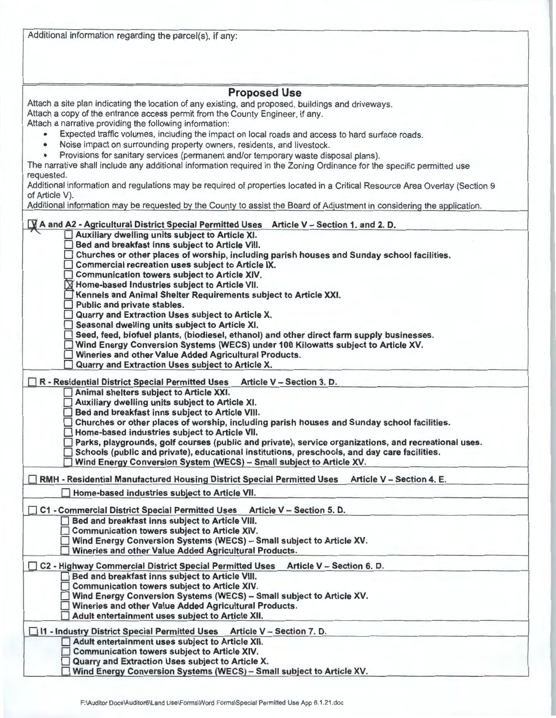| Additional information regarding the parcel(s), if any:                                                                                                             |  |  |  |  |
|---------------------------------------------------------------------------------------------------------------------------------------------------------------------|--|--|--|--|
| <b>Proposed Use</b>                                                                                                                                                 |  |  |  |  |
| Attach a site plan indicating the location of any existing, and proposed, buildings and driveways.                                                                  |  |  |  |  |
| Attach a copy of the entrance access permit from the County Engineer, if any.                                                                                       |  |  |  |  |
| Attach a narrative providing the following information:                                                                                                             |  |  |  |  |
| Expected traffic volumes, including the impact on local roads and access to hard surface roads.<br>$\bullet$                                                        |  |  |  |  |
| Noise impact on surrounding property owners, residents, and livestock.<br>٠                                                                                         |  |  |  |  |
| Provisions for sanitary services (permanent and/or temporary waste disposal plans).<br>$\bullet$                                                                    |  |  |  |  |
| The narrative shall include any additional information required in the Zoning Ordinance for the specific permitted use                                              |  |  |  |  |
| requested.                                                                                                                                                          |  |  |  |  |
| Additional information and regulations may be required of properties located in a Critical Resource Area Overlay (Section 9                                         |  |  |  |  |
| of Article V).                                                                                                                                                      |  |  |  |  |
| Additional information may be requested by the County to assist the Board of Adjustment in considering the application.                                             |  |  |  |  |
| A and A2 - Agricultural District Special Permitted Uses<br>Article V - Section 1. and 2. D.                                                                         |  |  |  |  |
| Auxiliary dwelling units subject to Article XI.                                                                                                                     |  |  |  |  |
| Bed and breakfast inns subject to Article VIII.                                                                                                                     |  |  |  |  |
| Churches or other places of worship, including parish houses and Sunday school facilities.                                                                          |  |  |  |  |
| Commercial recreation uses subject to Article IX.                                                                                                                   |  |  |  |  |
| Communication towers subject to Article XIV.                                                                                                                        |  |  |  |  |
| X Home-based Industries subject to Article VII.<br>Kennels and Animal Shelter Requirements subject to Article XXI.                                                  |  |  |  |  |
| Public and private stables.                                                                                                                                         |  |  |  |  |
| Quarry and Extraction Uses subject to Article X.                                                                                                                    |  |  |  |  |
| Seasonal dwelling units subject to Article XI.                                                                                                                      |  |  |  |  |
| Seed, feed, biofuel plants, (biodiesel, ethanol) and other direct farm supply businesses.                                                                           |  |  |  |  |
| Wind Energy Conversion Systems (WECS) under 100 Kilowatts subject to Article XV.                                                                                    |  |  |  |  |
| Wineries and other Value Added Agricultural Products.                                                                                                               |  |  |  |  |
| Quarry and Extraction Uses subject to Article X.                                                                                                                    |  |  |  |  |
| Article V - Section 3. D.<br>R - Residential District Special Permitted Uses                                                                                        |  |  |  |  |
| Animal shelters subject to Article XXI.                                                                                                                             |  |  |  |  |
| Auxiliary dwelling units subject to Article XI.                                                                                                                     |  |  |  |  |
| Bed and breakfast inns subject to Article VIII.                                                                                                                     |  |  |  |  |
| Churches or other places of worship, including parish houses and Sunday school facilities.                                                                          |  |  |  |  |
| Home-based industries subject to Article VII.                                                                                                                       |  |  |  |  |
| Parks, playgrounds, golf courses (public and private), service organizations, and recreational uses.                                                                |  |  |  |  |
| Schools (public and private), educational institutions, preschools, and day care facilities.<br>Wind Energy Conversion System (WECS) - Small subject to Article XV. |  |  |  |  |
|                                                                                                                                                                     |  |  |  |  |
| Article V - Section 4. E.<br>RMH - Residential Manufactured Housing District Special Permitted Uses                                                                 |  |  |  |  |
| Home-based industries subject to Article VII.                                                                                                                       |  |  |  |  |
|                                                                                                                                                                     |  |  |  |  |
| <b>C1 - Commercial District Special Permitted Uses</b><br>Article V - Section 5. D.<br>Bed and breakfast inns subject to Article VIII.                              |  |  |  |  |
| <b>Communication towers subject to Article XIV.</b>                                                                                                                 |  |  |  |  |
| Wind Energy Conversion Systems (WECS) - Small subject to Article XV.                                                                                                |  |  |  |  |
| Wineries and other Value Added Agricultural Products.                                                                                                               |  |  |  |  |
|                                                                                                                                                                     |  |  |  |  |
| C2 - Highway Commercial District Special Permitted Uses Article V - Section 6. D.<br>Bed and breakfast inns subject to Article VIII.<br>$\overline{\phantom{0}}$    |  |  |  |  |
| <b>Communication towers subject to Article XIV.</b>                                                                                                                 |  |  |  |  |
| Wind Energy Conversion Systems (WECS) - Small subject to Article XV.                                                                                                |  |  |  |  |
| Wineries and other Value Added Agricultural Products.                                                                                                               |  |  |  |  |
| Adult entertainment uses subject to Article XII.                                                                                                                    |  |  |  |  |
| □ 11 - Industry District Special Permitted Uses Article V - Section 7. D.                                                                                           |  |  |  |  |
| Adult entertainment uses subject to Article XII.                                                                                                                    |  |  |  |  |
| Communication towers subject to Article XIV.                                                                                                                        |  |  |  |  |
| Quarry and Extraction Uses subject to Article X.                                                                                                                    |  |  |  |  |
| Wind Energy Conversion Systems (WECS) - Small subject to Article XV.                                                                                                |  |  |  |  |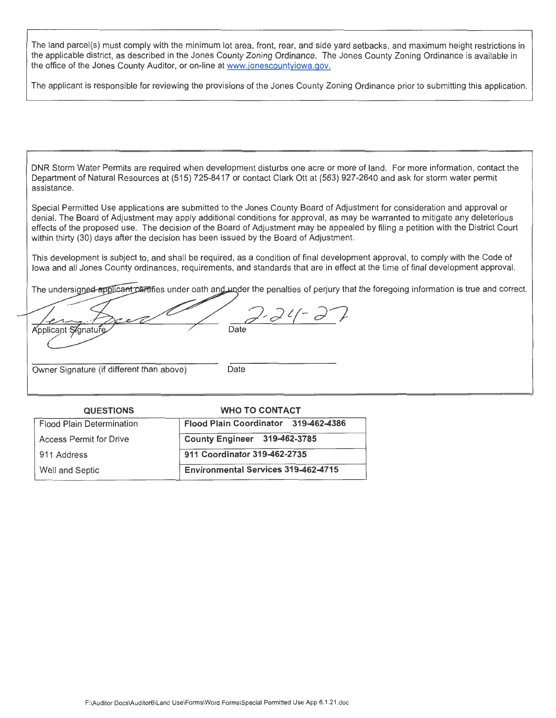The land parcel(s) must comply with the minimum lot area, front, rear, and side yard setbacks, and maximum height restrictions in the applicable district, as described in the Jones County Zoning Ordinance. The Jones County Zoning Ordinance is available in the office of the Jones County Auditor, or on-line at www.jonescountyiowa.gov.

The applicant is responsible for reviewing the provisions of the Jones County Zoning Ordinance prior to submitting this application.

DNR Storm Water Permits are required when development disturbs one acre or more of land. For more information, contact the Department of Natural Resources at (515) 725-8417 or contact Clark Ott at (563) 927-2640 and ask for storm water permit assistance.

Special Permitted Use applications are submitted to the Jones County Board of Adjustment for consideration and approval or denial. The Board of Adjustment may apply additional conditions for approval, as may be warranted to mitigate any deleterious effects of the proposed use. The decision of the Board of Adjustment may be appealed by filing a petition with the District Court within thirty (30) days after the decision has been issued by the Board of Adjustment.

This development is subject to, and shall be required, as a condition of final development approval, to comply with the Code of Iowa and all Jones County ordinances, requirements, and standards that are in effect at the time of final development approval.

The undersigned applicant contifies under oath and under the penalties of perjury that the foregoing information is true and correct.

 $2 - 24 -$ Applicant Signatur Date

Owner Signature (if different than above) Date

| <b>QUESTIONS</b>                 | <b>WHO TO CONTACT</b>                      |  |
|----------------------------------|--------------------------------------------|--|
| <b>Flood Plain Determination</b> | Flood Plain Coordinator 319-462-4386       |  |
| <b>Access Permit for Drive</b>   | County Engineer 319-462-3785               |  |
| 911 Address                      | 911 Coordinator 319-462-2735               |  |
| Well and Septic                  | <b>Environmental Services 319-462-4715</b> |  |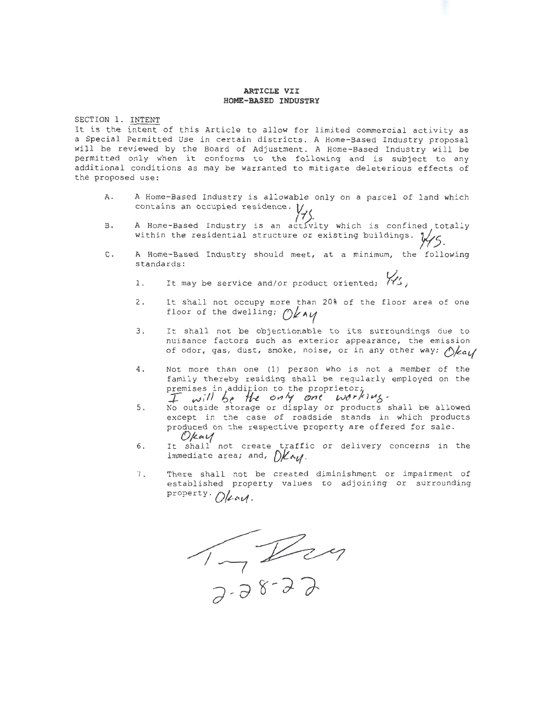## **ARTICLE VII HOME-BASED INDUSTRY**

SECTION 1. INTENT

It is the intent of this Article to allow for limited commercial activity as a Special Permitted Use in certain districts. A Home-Based Industry proposal will be reviewed by the Board of Adjustment . A Home-Based Industry will be permitted only when it conforms to the following and is subject to any additional conditions as may be warranted to mitigate deleterious effects of the proposed use:

- **A.**  A Home-Based Industry is allowable only on a parcel of land which contains an occupied residence.¾
- B. A Home-Based Industry is an activity which is confined totally within the residential structure or existing buildings.  $\frac{1}{\sqrt{5}}$
- C. A Home-Based Industry should meet, at a minimum, the following standards:
	- 1. It may be service and/or product oriented;  $\frac{1}{12}$
	- 2 . It shall not occupy more than 20% of the floor area of one floor of the dwelling; Okay
	- 3. It shall not be objectionable to its surroundings due to nuisance factors such as exterior appearance, the emission of odor, gas, dust, smoke, noise, or in any other way;  $\Diamond$ /*zau*/
	- 4. Not more than one (1) person who is not a member of the family thereby residing shall be regularly employed on the premises in addition to the proprietor;<br>I will be the only one working.
	- 5. No outside storage or display or products shall be allowed except in the case of roadside stands in which products produced on the respective property are offered for sale. *0/£.c,'1*
	- 6 . It shall not create traffic or delivery concerns in the immediate area; and,  $\partial K \sim \gamma$ .
	- 7 . There shall not be created diminishment or impairment of established property values to adjoining or surrounding property . Oleay.

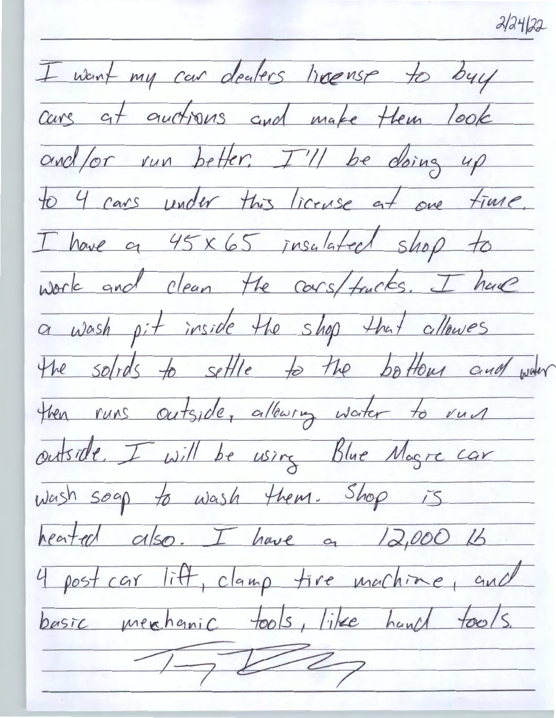$2/24/22$ 

I want my car dealers heense to buy cars at auctions and make them look and/or run better. I'll be doing up to 4 cars under this license at one time. I have a 45 x 65 insulated shop to work and clean the cors/trucks. I have a wash pit inside the shop that allowes the solids to settle to the bottom and waar then runs outside, allowing water to run outside, I will be using Blue Magre car Wash soap to wash them. Shop is heated also. I have a 12,000 lb 4 post car lift, clamp tire machine, and basic merchanic tools, like hand tools.  $\frac{1}{\sqrt{2}}\sqrt{2\pi}$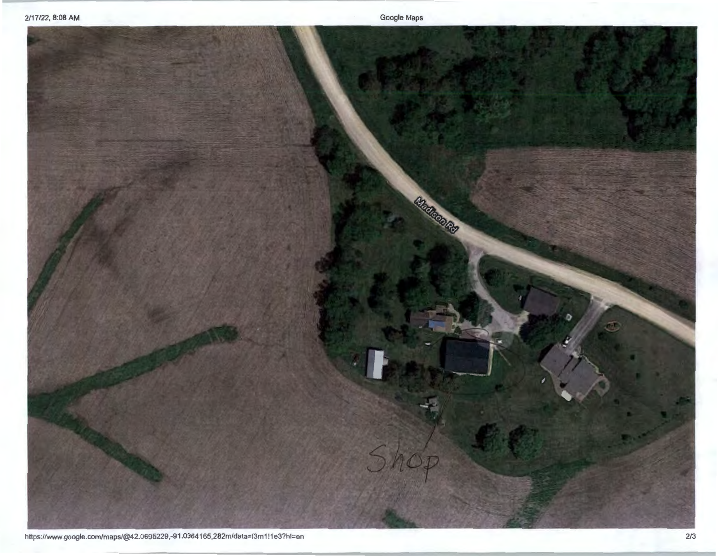Google Maps